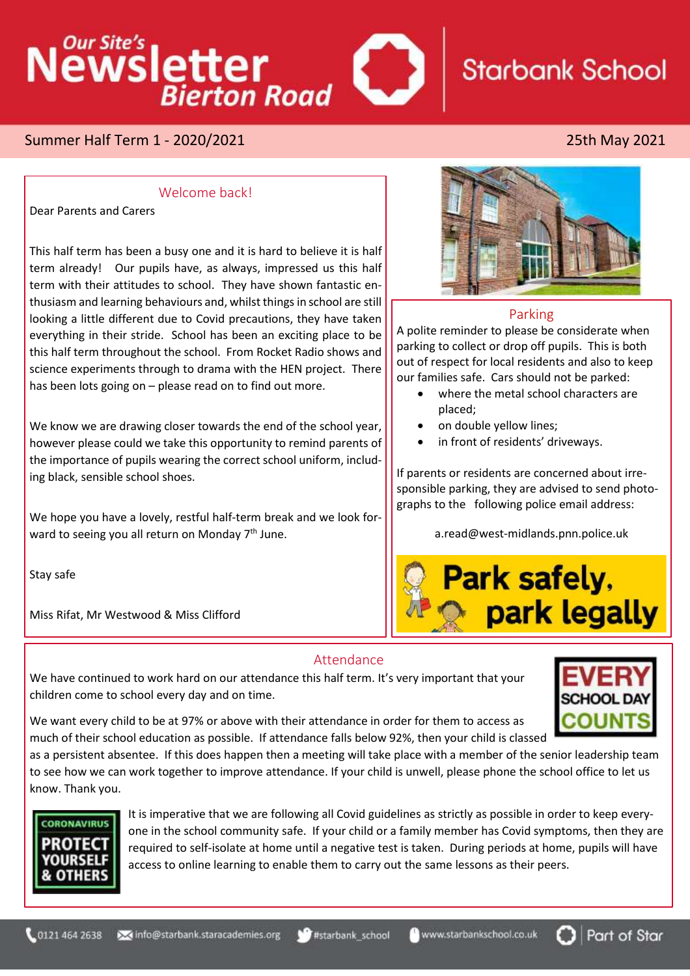# Newsletter **Starbank School Bierton Road**

# Summer Half Term 1 - 2020/2021 25th May 2021

### Welcome back!

Dear Parents and Carers

This half term has been a busy one and it is hard to believe it is half term already! Our pupils have, as always, impressed us this half term with their attitudes to school. They have shown fantastic enthusiasm and learning behaviours and, whilst things in school are still looking a little different due to Covid precautions, they have taken everything in their stride. School has been an exciting place to be this half term throughout the school. From Rocket Radio shows and science experiments through to drama with the HEN project. There has been lots going on – please read on to find out more.

We know we are drawing closer towards the end of the school year, however please could we take this opportunity to remind parents of the importance of pupils wearing the correct school uniform, including black, sensible school shoes.

We hope you have a lovely, restful half-term break and we look forward to seeing you all return on Monday 7<sup>th</sup> June.

Stay safe

Miss Rifat, Mr Westwood & Miss Clifford



### Parking

A polite reminder to please be considerate when parking to collect or drop off pupils. This is both out of respect for local residents and also to keep our families safe. Cars should not be parked:

- where the metal school characters are placed;
- on double yellow lines;
- in front of residents' driveways.

If parents or residents are concerned about irresponsible parking, they are advised to send photographs to the following police email address:

a.read@west-midlands.pnn.police.uk



### Attendance

We have continued to work hard on our attendance this half term. It's very important that your children come to school every day and on time.



We want every child to be at 97% or above with their attendance in order for them to access as much of their school education as possible. If attendance falls below 92%, then your child is classed

as a persistent absentee. If this does happen then a meeting will take place with a member of the senior leadership team to see how we can work together to improve attendance. If your child is unwell, please phone the school office to let us know. Thank you.



It is imperative that we are following all Covid guidelines as strictly as possible in order to keep everyone in the school community safe. If your child or a family member has Covid symptoms, then they are required to self-isolate at home until a negative test is taken. During periods at home, pupils will have access to online learning to enable them to carry out the same lessons as their peers.

www.starbankschool.co.uk

Part of Star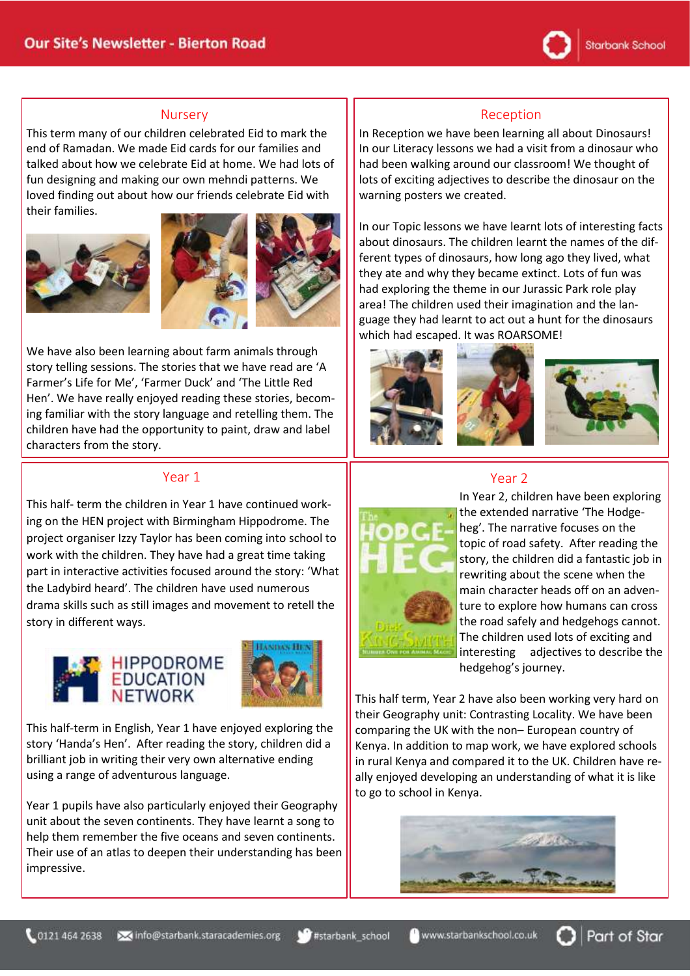

#### Nursery

This term many of our children celebrated Eid to mark the end of Ramadan. We made Eid cards for our families and talked about how we celebrate Eid at home. We had lots of fun designing and making our own mehndi patterns. We loved finding out about how our friends celebrate Eid with their families.







We have also been learning about farm animals through story telling sessions. The stories that we have read are 'A Farmer's Life for Me', 'Farmer Duck' and 'The Little Red Hen'. We have really enjoyed reading these stories, becoming familiar with the story language and retelling them. The children have had the opportunity to paint, draw and label characters from the story.

### Year 1

This half- term the children in Year 1 have continued working on the HEN project with Birmingham Hippodrome. The project organiser Izzy Taylor has been coming into school to work with the children. They have had a great time taking part in interactive activities focused around the story: 'What the Ladybird heard'. The children have used numerous drama skills such as still images and movement to retell the story in different ways.





This half-term in English, Year 1 have enjoyed exploring the story 'Handa's Hen'. After reading the story, children did a brilliant job in writing their very own alternative ending using a range of adventurous language.

Year 1 pupils have also particularly enjoyed their Geography unit about the seven continents. They have learnt a song to help them remember the five oceans and seven continents. Their use of an atlas to deepen their understanding has been impressive.

### Reception

In Reception we have been learning all about Dinosaurs! In our Literacy lessons we had a visit from a dinosaur who had been walking around our classroom! We thought of lots of exciting adjectives to describe the dinosaur on the warning posters we created.

In our Topic lessons we have learnt lots of interesting facts about dinosaurs. The children learnt the names of the different types of dinosaurs, how long ago they lived, what they ate and why they became extinct. Lots of fun was had exploring the theme in our Jurassic Park role play area! The children used their imagination and the language they had learnt to act out a hunt for the dinosaurs which had escaped. It was ROARSOME!



## Year 2



In Year 2, children have been exploring the extended narrative 'The Hodgeheg'. The narrative focuses on the topic of road safety. After reading the story, the children did a fantastic job in rewriting about the scene when the main character heads off on an adventure to explore how humans can cross the road safely and hedgehogs cannot. The children used lots of exciting and interesting adjectives to describe the hedgehog's journey.

Part of Star

This half term, Year 2 have also been working very hard on their Geography unit: Contrasting Locality. We have been comparing the UK with the non– European country of Kenya. In addition to map work, we have explored schools in rural Kenya and compared it to the UK. Children have really enjoyed developing an understanding of what it is like to go to school in Kenya.



www.starbankschool.co.uk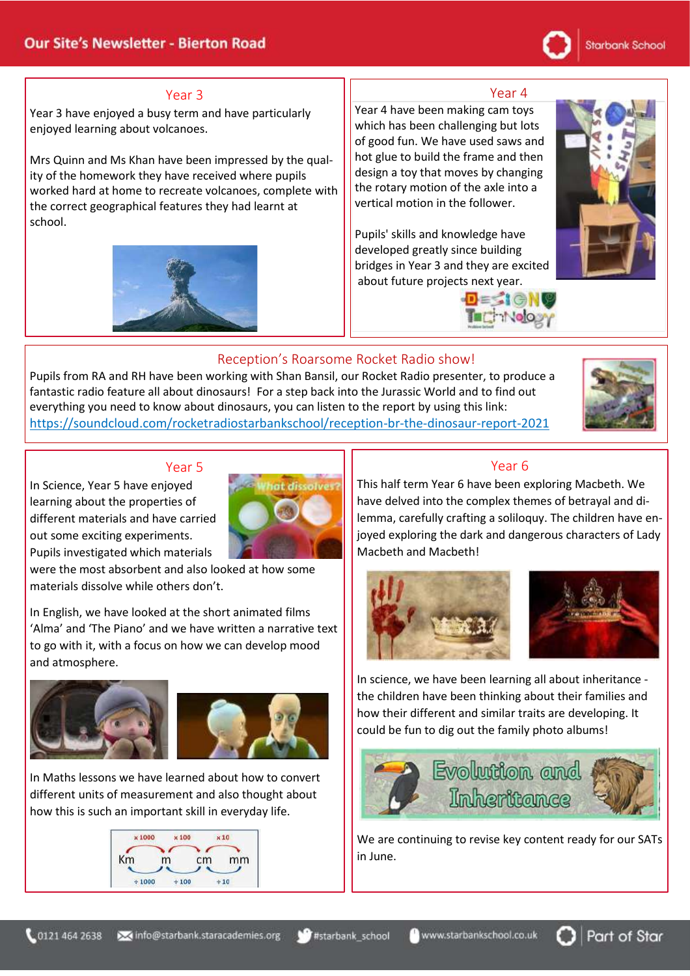# Starbank School

### Year 3

Year 3 have enjoyed a busy term and have particularly enjoyed learning about volcanoes.

Mrs Quinn and Ms Khan have been impressed by the quality of the homework they have received where pupils worked hard at home to recreate volcanoes, complete with the correct geographical features they had learnt at school.



### Year 4

Year 4 have been making cam toys which has been challenging but lots of good fun. We have used saws and hot glue to build the frame and then design a toy that moves by changing the rotary motion of the axle into a vertical motion in the follower.

Pupils' skills and knowledge have developed greatly since building bridges in Year 3 and they are excited about future projects next year.







## Reception's Roarsome Rocket Radio show!

Pupils from RA and RH have been working with Shan Bansil, our Rocket Radio presenter, to produce a fantastic radio feature all about dinosaurs! For a step back into the Jurassic World and to find out everything you need to know about dinosaurs, you can listen to the report by using this link: [https://soundcloud.com/rocketradiostarbankschool/reception-br-the-dinosaur-report-2021](https://eur01.safelinks.protection.outlook.com/?url=https%3A%2F%2Fsoundcloud.com%2Frocketradiostarbankschool%2Freception-br-the-dinosaur-report-2021&data=04%7C01%7CEmily.Clifford%40starbank.staracademies.org%7C0d4dc7a5238e4257453808d91f4d0645%7Cad91cba8ab0a41f6ab6243cf47f82197%7C0%7C0%7C637575238010901187%7CUnknown%7CTWFpbGZsb3d8eyJWIjoiMC4wLjAwMDAiLCJQIjoiV2luMzIiLCJBTiI6Ik1haWwiLCJXVCI6Mn0%3D%7C1000&sdata=IGsVNboIQgqZv8PYYQmzQi%2FxoZqDAVQZWkk6dswU3E0%3D&reserved=0)



### Year 5

In Science, Year 5 have enjoyed learning about the properties of different materials and have carried out some exciting experiments. Pupils investigated which materials

at dissolver?

were the most absorbent and also looked at how some materials dissolve while others don't.

In English, we have looked at the short animated films 'Alma' and 'The Piano' and we have written a narrative text to go with it, with a focus on how we can develop mood and atmosphere.



In Maths lessons we have learned about how to convert different units of measurement and also thought about how this is such an important skill in everyday life.



# Year 6

This half term Year 6 have been exploring Macbeth. We have delved into the complex themes of betrayal and dilemma, carefully crafting a soliloquy. The children have enjoyed exploring the dark and dangerous characters of Lady Macbeth and Macbeth!





In science, we have been learning all about inheritance the children have been thinking about their families and how their different and similar traits are developing. It could be fun to dig out the family photo albums!



We are continuing to revise key content ready for our SATs in June.

Part of Star